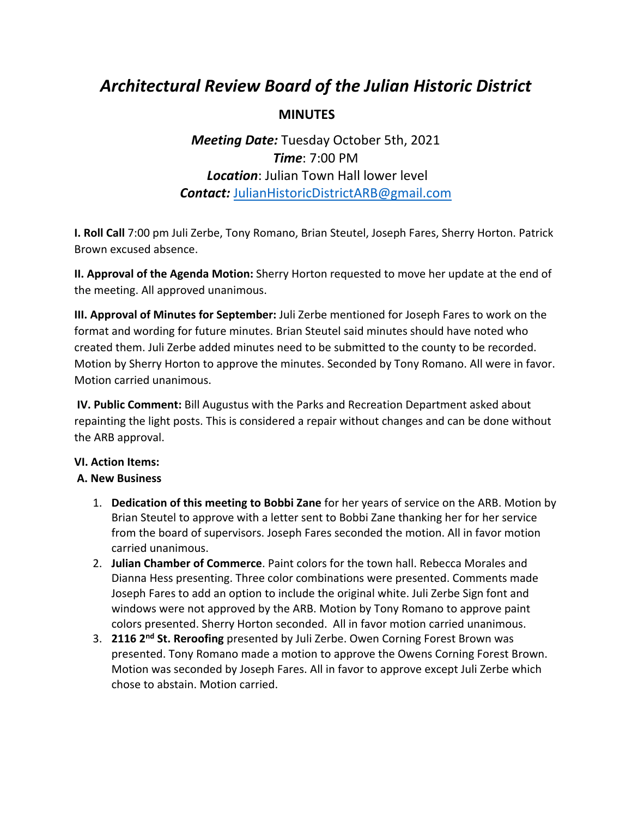# *Architectural Review Board of the Julian Historic District*

### **MINUTES**

## *Meeting Date:* Tuesday October 5th, 2021 *Time*: 7:00 PM *Location*: Julian Town Hall lower level *Contact:* JulianHistoricDistrictARB@gmail.com

**I. Roll Call** 7:00 pm Juli Zerbe, Tony Romano, Brian Steutel, Joseph Fares, Sherry Horton. Patrick Brown excused absence.

**II. Approval of the Agenda Motion:** Sherry Horton requested to move her update at the end of the meeting. All approved unanimous.

**III. Approval of Minutes for September:** Juli Zerbe mentioned for Joseph Fares to work on the format and wording for future minutes. Brian Steutel said minutes should have noted who created them. Juli Zerbe added minutes need to be submitted to the county to be recorded. Motion by Sherry Horton to approve the minutes. Seconded by Tony Romano. All were in favor. Motion carried unanimous.

**IV. Public Comment:** Bill Augustus with the Parks and Recreation Department asked about repainting the light posts. This is considered a repair without changes and can be done without the ARB approval.

#### **VI. Action Items:**

#### **A. New Business**

- 1. **Dedication of this meeting to Bobbi Zane** for her years of service on the ARB. Motion by Brian Steutel to approve with a letter sent to Bobbi Zane thanking her for her service from the board of supervisors. Joseph Fares seconded the motion. All in favor motion carried unanimous.
- 2. **Julian Chamber of Commerce**. Paint colors for the town hall. Rebecca Morales and Dianna Hess presenting. Three color combinations were presented. Comments made Joseph Fares to add an option to include the original white. Juli Zerbe Sign font and windows were not approved by the ARB. Motion by Tony Romano to approve paint colors presented. Sherry Horton seconded. All in favor motion carried unanimous.
- 3. **2116 2nd St. Reroofing** presented by Juli Zerbe. Owen Corning Forest Brown was presented. Tony Romano made a motion to approve the Owens Corning Forest Brown. Motion was seconded by Joseph Fares. All in favor to approve except Juli Zerbe which chose to abstain. Motion carried.